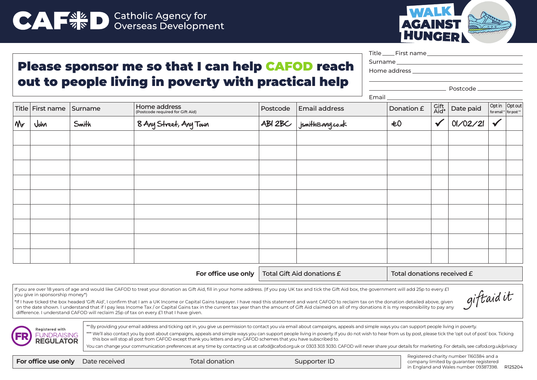



Title First name

## Please sponsor me so that I can help CAFOD reach out to people living in poverty with practical help

Surname

Email

Home address

Postcode

|    |                          |       |                                                  | _ __     |                            |            |              |           |                          |                                          |
|----|--------------------------|-------|--------------------------------------------------|----------|----------------------------|------------|--------------|-----------|--------------------------|------------------------------------------|
|    | Title First name Surname |       | Home address<br>(Postcode required for Gift Aid) | Postcode | <b>Email address</b>       | Donation £ | Gift<br>Aid* | Date paid |                          | Opt in Opt out<br>for email " for post " |
| Mr | John                     | Smith | 8 Any Street, Any Town                           |          | $AB$ 2BC $jsnih@avg.co.uk$ | $\pm 0$    | $\checkmark$ | 01/02/21  | $\overline{\mathscr{L}}$ |                                          |
|    |                          |       |                                                  |          |                            |            |              |           |                          |                                          |
|    |                          |       |                                                  |          |                            |            |              |           |                          |                                          |
|    |                          |       |                                                  |          |                            |            |              |           |                          |                                          |
|    |                          |       |                                                  |          |                            |            |              |           |                          |                                          |
|    |                          |       |                                                  |          |                            |            |              |           |                          |                                          |
|    |                          |       |                                                  |          |                            |            |              |           |                          |                                          |
|    |                          |       |                                                  |          |                            |            |              |           |                          |                                          |
|    |                          |       |                                                  |          |                            |            |              |           |                          |                                          |
|    |                          |       |                                                  |          |                            |            |              |           |                          |                                          |
|    |                          |       |                                                  |          |                            |            |              |           |                          |                                          |

For office use only  $\vert$  Total Gift Aid donations  $\epsilon$  Total donations received  $\epsilon$ 

If you are over 18 years of age and would like CAFOD to treat your donation as Gift Aid, fill in your home address. (If you pay UK tax and tick the Gift Aid box, the government will add 25p to every £1 you give in sponsorship money\*)

giftaidit

\*If I have ticked the box headed 'Gift Aid', I confirm that I am a UK Income or Capital Gains taxpayer. I have read this statement and want CAFOD to reclaim tax on the donation detailed above, given on the date shown. I understand that if I pay less Income Tax / or Capital Gains tax in the current tax year than the amount of Gift Aid claimed on all of my donations it is my responsibility to pay any difference. I understand CAFOD will reclaim 25p of tax on every £1 that I have given.



\*\* By providing your email address and ticking opt in, you give us permission to contact you via email about campaigns, appeals and simple ways you can support people living in poverty.

\*\*\* We'll also contact you by post about campaigns, appeals and simple ways you can support people living in poverty. If you do not wish to hear from us by post, please tick the 'opt out of post' box. Ticking this box will stop all post from CAFOD except thank you letters and any CAFOD schemes that you have subscribed to.

You can change your communication preferences at any time by contacting us at cafod@cafod.org.uk or 0303 303 3030. CAFOD will never share your details for marketing. For details, see cafod.org.uk/privacy

**For office use only** Date received Total donation Total donation Supporter ID

Registered charity number 1160384 and a company limited by guarantee registered in England and Wales number 09387398. R125204